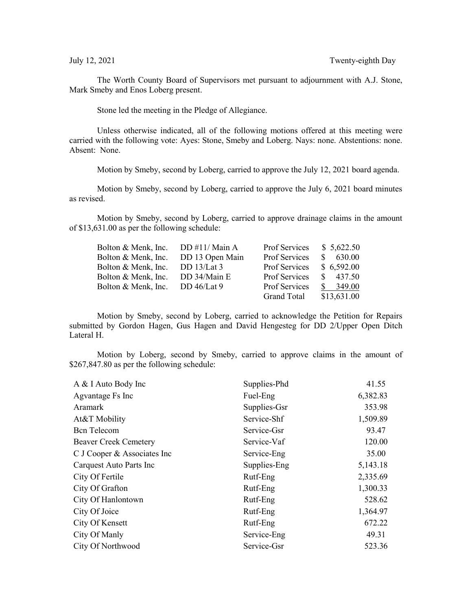The Worth County Board of Supervisors met pursuant to adjournment with A.J. Stone, Mark Smeby and Enos Loberg present.

Stone led the meeting in the Pledge of Allegiance.

Unless otherwise indicated, all of the following motions offered at this meeting were carried with the following vote: Ayes: Stone, Smeby and Loberg. Nays: none. Abstentions: none. Absent: None.

Motion by Smeby, second by Loberg, carried to approve the July 12, 2021 board agenda.

Motion by Smeby, second by Loberg, carried to approve the July 6, 2021 board minutes as revised.

Motion by Smeby, second by Loberg, carried to approve drainage claims in the amount of \$13,631.00 as per the following schedule:

| Bolton & Menk, Inc. | DD #11/Main A   | Prof Services      | \$5,622.50   |
|---------------------|-----------------|--------------------|--------------|
| Bolton & Menk, Inc. | DD 13 Open Main | Prof Services      | 630.00<br>S. |
| Bolton & Menk, Inc. | DD $13/Lat3$    | Prof Services      | \$6,592.00   |
| Bolton & Menk, Inc. | DD 34/Main E    | Prof Services      | 437.50<br>S. |
| Bolton & Menk, Inc. | DD $46$ /Lat 9  | Prof Services      | 349.00       |
|                     |                 | <b>Grand Total</b> | \$13,631.00  |

Motion by Smeby, second by Loberg, carried to acknowledge the Petition for Repairs submitted by Gordon Hagen, Gus Hagen and David Hengesteg for DD 2/Upper Open Ditch Lateral H.

Motion by Loberg, second by Smeby, carried to approve claims in the amount of \$267,847.80 as per the following schedule:

| A & I Auto Body Inc          | Supplies-Phd | 41.55    |
|------------------------------|--------------|----------|
| Agvantage Fs Inc             | Fuel-Eng     | 6,382.83 |
| Aramark                      | Supplies-Gsr | 353.98   |
| At&T Mobility                | Service-Shf  | 1,509.89 |
| <b>Bcn</b> Telecom           | Service-Gsr  | 93.47    |
| <b>Beaver Creek Cemetery</b> | Service-Vaf  | 120.00   |
| C J Cooper & Associates Inc  | Service-Eng  | 35.00    |
| Carquest Auto Parts Inc      | Supplies-Eng | 5,143.18 |
| City Of Fertile              | Rutf-Eng     | 2,335.69 |
| City Of Grafton              | Rutf-Eng     | 1,300.33 |
| City Of Hanlontown           | Rutf-Eng     | 528.62   |
| City Of Joice                | Rutf-Eng     | 1,364.97 |
| City Of Kensett              | Rutf-Eng     | 672.22   |
| City Of Manly                | Service-Eng  | 49.31    |
| City Of Northwood            | Service-Gsr  | 523.36   |
|                              |              |          |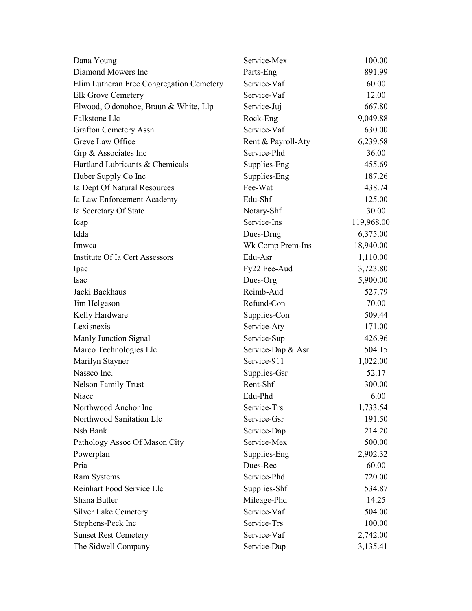| Dana Young                               | Service-Mex        | 100.00     |
|------------------------------------------|--------------------|------------|
| Diamond Mowers Inc                       | Parts-Eng          | 891.99     |
| Elim Lutheran Free Congregation Cemetery | Service-Vaf        | 60.00      |
| <b>Elk Grove Cemetery</b>                | Service-Vaf        | 12.00      |
| Elwood, O'donohoe, Braun & White, Llp    | Service-Juj        | 667.80     |
| Falkstone Llc                            | Rock-Eng           | 9,049.88   |
| <b>Grafton Cemetery Assn</b>             | Service-Vaf        | 630.00     |
| Greve Law Office                         | Rent & Payroll-Aty | 6,239.58   |
| Grp & Associates Inc                     | Service-Phd        | 36.00      |
| Hartland Lubricants & Chemicals          | Supplies-Eng       | 455.69     |
| Huber Supply Co Inc                      | Supplies-Eng       | 187.26     |
| Ia Dept Of Natural Resources             | Fee-Wat            | 438.74     |
| Ia Law Enforcement Academy               | Edu-Shf            | 125.00     |
| Ia Secretary Of State                    | Notary-Shf         | 30.00      |
| Icap                                     | Service-Ins        | 119,968.00 |
| Idda                                     | Dues-Drng          | 6,375.00   |
| Imwca                                    | Wk Comp Prem-Ins   | 18,940.00  |
| Institute Of Ia Cert Assessors           | Edu-Asr            | 1,110.00   |
| Ipac                                     | Fy22 Fee-Aud       | 3,723.80   |
| <b>Isac</b>                              | Dues-Org           | 5,900.00   |
| Jacki Backhaus                           | Reimb-Aud          | 527.79     |
| Jim Helgeson                             | Refund-Con         | 70.00      |
| Kelly Hardware                           | Supplies-Con       | 509.44     |
| Lexisnexis                               | Service-Aty        | 171.00     |
| Manly Junction Signal                    | Service-Sup        | 426.96     |
| Marco Technologies Llc                   | Service-Dap & Asr  | 504.15     |
| Marilyn Stayner                          | Service-911        | 1,022.00   |
| Nassco Inc.                              | Supplies-Gsr       | 52.17      |
| Nelson Family Trust                      | Rent-Shf           | 300.00     |
| Niacc                                    | Edu-Phd            | 6.00       |
| Northwood Anchor Inc                     | Service-Trs        | 1,733.54   |
| Northwood Sanitation Llc                 | Service-Gsr        | 191.50     |
| Nsb Bank                                 | Service-Dap        | 214.20     |
| Pathology Assoc Of Mason City            | Service-Mex        | 500.00     |
| Powerplan                                | Supplies-Eng       | 2,902.32   |
| Pria                                     | Dues-Rec           | 60.00      |
| Ram Systems                              | Service-Phd        | 720.00     |
| Reinhart Food Service Llc                | Supplies-Shf       | 534.87     |
| Shana Butler                             | Mileage-Phd        | 14.25      |
| <b>Silver Lake Cemetery</b>              | Service-Vaf        | 504.00     |
| Stephens-Peck Inc                        | Service-Trs        | 100.00     |
| <b>Sunset Rest Cemetery</b>              | Service-Vaf        | 2,742.00   |
| The Sidwell Company                      | Service-Dap        | 3,135.41   |